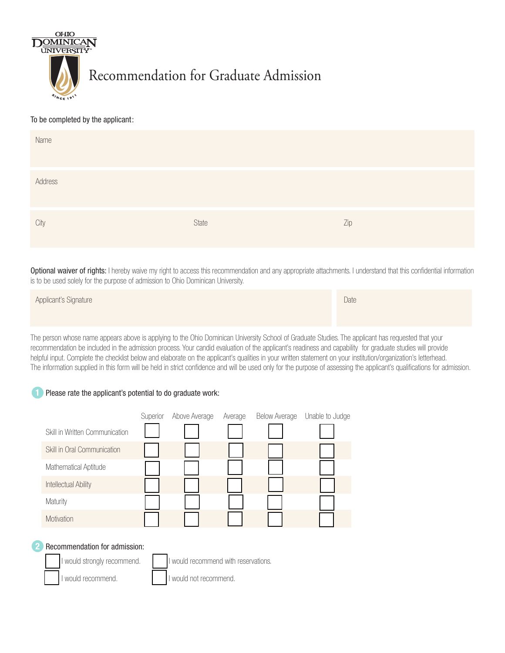

## To be completed by the applicant:

| Name    |       |     |
|---------|-------|-----|
| Address |       |     |
| City    | State | Zip |

Optional waiver of rights: I hereby waive my right to access this recommendation and any appropriate attachments. I understand that this confidential information is to be used solely for the purpose of admission to Ohio Dominican University.

| Applicant's Signature | Date |
|-----------------------|------|
|                       |      |

The person whose name appears above is applying to the Ohio Dominican University School of Graduate Studies. The applicant has requested that your recommendation be included in the admission process. Your candid evaluation of the applicant's readiness and capability for graduate studies will provide helpful input. Complete the checklist below and elaborate on the applicant's qualities in your written statement on your institution/organization's letterhead. The information supplied in this form will be held in strict confidence and will be used only for the purpose of assessing the applicant's qualifications for admission.

## **1** Please rate the applicant's potential to do graduate work:

|                                | Superior | Above Average | Average | <b>Below Average</b> | Unable to Judge |
|--------------------------------|----------|---------------|---------|----------------------|-----------------|
| Skill in Written Communication |          |               |         |                      |                 |
| Skill in Oral Communication    |          |               |         |                      |                 |
| Mathematical Aptitude          |          |               |         |                      |                 |
| Intellectual Ability           |          |               |         |                      |                 |
| Maturity                       |          |               |         |                      |                 |
| Motivation                     |          |               |         |                      |                 |
|                                |          |               |         |                      |                 |

## **2** Recommendation for admission:

would strongly recommend. I lowell recommend with reservations.

I would recommend. I would not recommend.